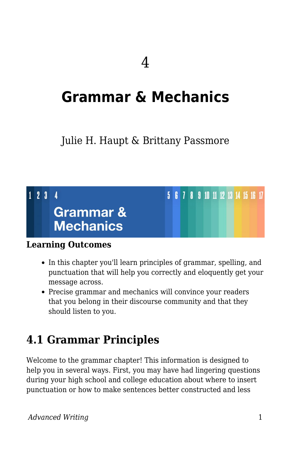# **Grammar & Mechanics**

### Julie H. Haupt & Brittany Passmore

### $123$  $\overline{\mathbf{A}}$ **Grammar & Mechanics**

#### **Learning Outcomes**

• In this chapter you'll learn principles of grammar, spelling, and punctuation that will help you correctly and eloquently get your message across.

5 6 7 8 9 10 11 12 13 14 15 16 17

Precise grammar and mechanics will convince your readers that you belong in their discourse community and that they should listen to you.

## **4.1 Grammar Principles**

Welcome to the grammar chapter! This information is designed to help you in several ways. First, you may have had lingering questions during your high school and college education about where to insert punctuation or how to make sentences better constructed and less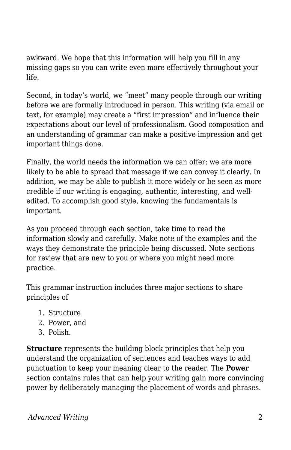awkward. We hope that this information will help you fill in any missing gaps so you can write even more effectively throughout your life.

Second, in today's world, we "meet" many people through our writing before we are formally introduced in person. This writing (via email or text, for example) may create a "first impression" and influence their expectations about our level of professionalism. Good composition and an understanding of grammar can make a positive impression and get important things done.

Finally, the world needs the information we can offer; we are more likely to be able to spread that message if we can convey it clearly. In addition, we may be able to publish it more widely or be seen as more credible if our writing is engaging, authentic, interesting, and welledited. To accomplish good style, knowing the fundamentals is important.

As you proceed through each section, take time to read the information slowly and carefully. Make note of the examples and the ways they demonstrate the principle being discussed. Note sections for review that are new to you or where you might need more practice.

This grammar instruction includes three major sections to share principles of

- 1. Structure
- 2. Power, and
- 3. Polish.

**Structure** represents the building block principles that help you understand the organization of sentences and teaches ways to add punctuation to keep your meaning clear to the reader. The **Power** section contains rules that can help your writing gain more convincing power by deliberately managing the placement of words and phrases.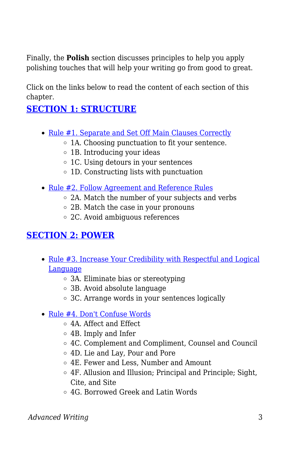Finally, the **Polish** section discusses principles to help you apply polishing touches that will help your writing go from good to great.

Click on the links below to read the content of each section of this chapter.

### **[SECTION 1: STRUCTURE](https://docs.google.com/document/d/166dHxYTm6MT8LHieEHZJmtHsSl4qRP09wkrxf5tuT8E/edit?usp=sharing)**

- [Rule #1. Separate and Set Off Main Clauses Correctly](https://docs.google.com/document/d/166dHxYTm6MT8LHieEHZJmtHsSl4qRP09wkrxf5tuT8E/edit?usp=sharing)
	- $\circ$  1A. Choosing punctuation to fit your sentence.
	- 1B. Introducing your ideas
	- 1C. Using detours in your sentences
	- 1D. Constructing lists with punctuation
- [Rule #2. Follow Agreement and Reference Rules](https://docs.google.com/document/d/166dHxYTm6MT8LHieEHZJmtHsSl4qRP09wkrxf5tuT8E/edit#heading=h.uxvtcbsgjkz3)
	- 2A. Match the number of your subjects and verbs
	- 2B. Match the case in your pronouns
	- 2C. Avoid ambiguous references

### **[SECTION 2: POWER](https://docs.google.com/document/d/1ay4cv-peG7wwExbVNGPpFACC5r5fggyzLSDYMX1omyE/edit?usp=sharing)**

- [Rule #3. Increase Your Credibility with Respectful and Logical](https://docs.google.com/document/d/1ay4cv-peG7wwExbVNGPpFACC5r5fggyzLSDYMX1omyE/edit?usp=sharing) [Language](https://docs.google.com/document/d/1ay4cv-peG7wwExbVNGPpFACC5r5fggyzLSDYMX1omyE/edit?usp=sharing)
	- 3A. Eliminate bias or stereotyping
	- 3B. Avoid absolute language
	- 3C. Arrange words in your sentences logically
- [Rule #4. Don't Confuse Words](https://docs.google.com/document/d/1ay4cv-peG7wwExbVNGPpFACC5r5fggyzLSDYMX1omyE/edit#heading=h.7geqkd9hj9y7)
	- 4A. Affect and Effect
	- 4B. Imply and Infer
	- 4C. Complement and Compliment, Counsel and Council
	- 4D. Lie and Lay, Pour and Pore
	- 4E. Fewer and Less, Number and Amount
	- 4F. Allusion and Illusion; Principal and Principle; Sight, Cite, and Site
	- 4G. Borrowed Greek and Latin Words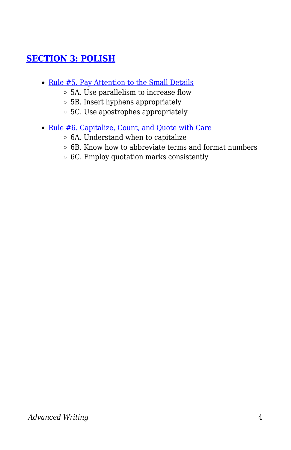### **[SECTION 3: POLISH](https://docs.google.com/document/d/11FF1nSJISPpaUAv65kw4h_6iIWOyPeO3JPc-hsWoY6c/edit?usp=sharing)**

- [Rule #5. Pay Attention to the Small Details](https://docs.google.com/document/d/11FF1nSJISPpaUAv65kw4h_6iIWOyPeO3JPc-hsWoY6c/edit?usp=sharing)
	- 5A. Use parallelism to increase flow
	- 5B. Insert hyphens appropriately
	- 5C. Use apostrophes appropriately
- [Rule #6. Capitalize, Count, and Quote with Care](https://docs.google.com/document/d/11FF1nSJISPpaUAv65kw4h_6iIWOyPeO3JPc-hsWoY6c/edit#heading=h.f2olvthz10ic)
	- $\circ$  6A. Understand when to capitalize
	- $\circ$  6B. Know how to abbreviate terms and format numbers
	- 6C. Employ quotation marks consistently